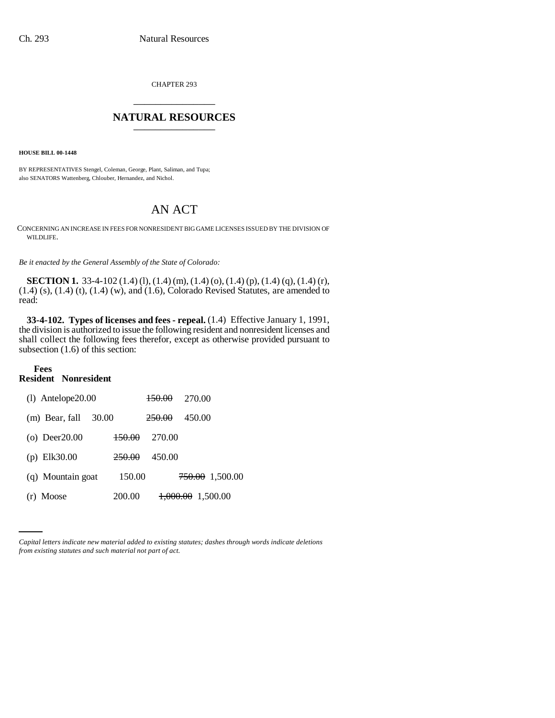CHAPTER 293 \_\_\_\_\_\_\_\_\_\_\_\_\_\_\_

## NATURAL RESOURCES

**HOUSE BILL 00-1448**

BY REPRESENTATIVES Stengel, Coleman, George, Plant, Saliman, and Tupa; also SENATORS Wattenberg, Chlouber, Hernandez, and Nichol.

## AN ACT

CONCERNING AN INCREASE IN FEES FOR NONRESIDENT BIG GAME LICENSES ISSUED BY THE DIVISION OF WILDLIFE.

*Be it enacted by the General Assembly of the State of Colorado:*

**SECTION 1.** 33-4-102 (1.4) (l), (1.4) (m), (1.4) (o), (1.4) (p), (1.4) (q), (1.4) (r), (1.4) (s), (1.4) (t), (1.4) (w), and (1.6), Colorado Revised Statutes, are amended to read:

**33-4-102. Types of licenses and fees - repeal.** (1.4) Effective January 1, 1991, the division is authorized to issue the following resident and nonresident licenses and shall collect the following fees therefor, except as otherwise provided pursuant to subsection (1.6) of this section:

## **Fees Resident Nonresident**

| $(l)$ Antelope $20.00$  |        | <del>150.00</del> | 270.00                               |                            |
|-------------------------|--------|-------------------|--------------------------------------|----------------------------|
| (m) Bear, fall<br>30.00 |        | <del>250.00</del> | 450.00                               |                            |
| $(o)$ Deer20.00         | 150.00 | 270.00            |                                      |                            |
| (p) $Elk30.00$          | 250.00 | 450.00            |                                      |                            |
| (q) Mountain goat       | 150.00 |                   |                                      | <del>750.00</del> 1,500.00 |
| (r) Moose               | 200.00 |                   | $\textcolor{blue}{+000.00}$ 1,500.00 |                            |

*Capital letters indicate new material added to existing statutes; dashes through words indicate deletions from existing statutes and such material not part of act.*